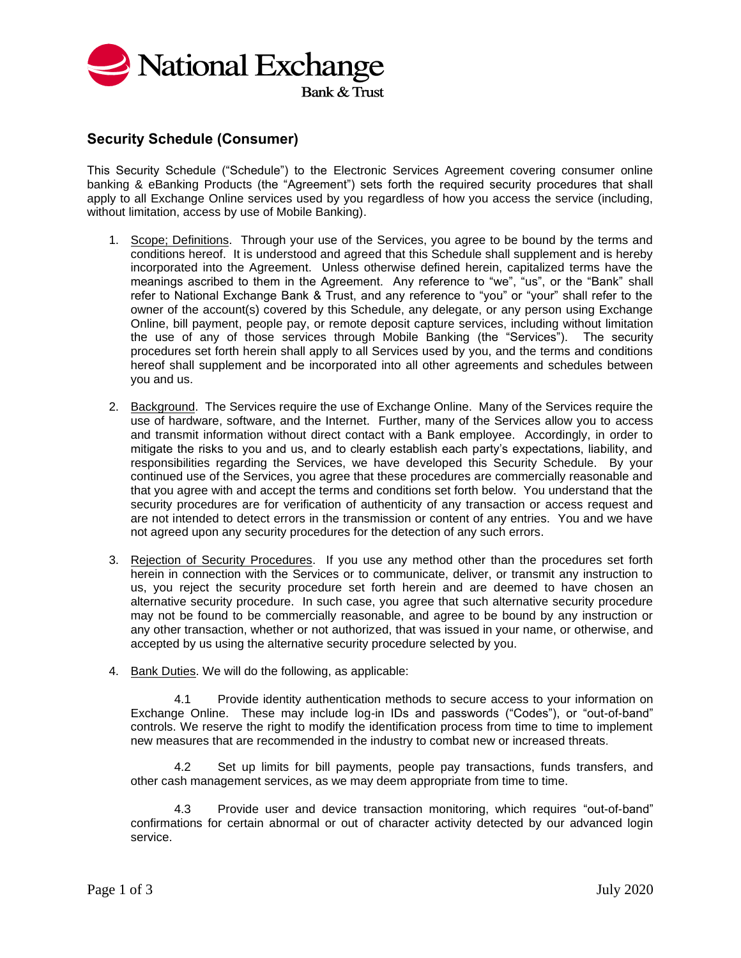

## **Security Schedule (Consumer)**

This Security Schedule ("Schedule") to the Electronic Services Agreement covering consumer online banking & eBanking Products (the "Agreement") sets forth the required security procedures that shall apply to all Exchange Online services used by you regardless of how you access the service (including, without limitation, access by use of Mobile Banking).

- 1. Scope; Definitions. Through your use of the Services, you agree to be bound by the terms and conditions hereof. It is understood and agreed that this Schedule shall supplement and is hereby incorporated into the Agreement. Unless otherwise defined herein, capitalized terms have the meanings ascribed to them in the Agreement. Any reference to "we", "us", or the "Bank" shall refer to National Exchange Bank & Trust, and any reference to "you" or "your" shall refer to the owner of the account(s) covered by this Schedule, any delegate, or any person using Exchange Online, bill payment, people pay, or remote deposit capture services, including without limitation the use of any of those services through Mobile Banking (the "Services"). The security procedures set forth herein shall apply to all Services used by you, and the terms and conditions hereof shall supplement and be incorporated into all other agreements and schedules between you and us.
- 2. Background. The Services require the use of Exchange Online. Many of the Services require the use of hardware, software, and the Internet. Further, many of the Services allow you to access and transmit information without direct contact with a Bank employee. Accordingly, in order to mitigate the risks to you and us, and to clearly establish each party's expectations, liability, and responsibilities regarding the Services, we have developed this Security Schedule. By your continued use of the Services, you agree that these procedures are commercially reasonable and that you agree with and accept the terms and conditions set forth below. You understand that the security procedures are for verification of authenticity of any transaction or access request and are not intended to detect errors in the transmission or content of any entries. You and we have not agreed upon any security procedures for the detection of any such errors.
- 3. Rejection of Security Procedures. If you use any method other than the procedures set forth herein in connection with the Services or to communicate, deliver, or transmit any instruction to us, you reject the security procedure set forth herein and are deemed to have chosen an alternative security procedure. In such case, you agree that such alternative security procedure may not be found to be commercially reasonable, and agree to be bound by any instruction or any other transaction, whether or not authorized, that was issued in your name, or otherwise, and accepted by us using the alternative security procedure selected by you.
- 4. Bank Duties. We will do the following, as applicable:

4.1 Provide identity authentication methods to secure access to your information on Exchange Online. These may include log-in IDs and passwords ("Codes"), or "out-of-band" controls. We reserve the right to modify the identification process from time to time to implement new measures that are recommended in the industry to combat new or increased threats.

4.2 Set up limits for bill payments, people pay transactions, funds transfers, and other cash management services, as we may deem appropriate from time to time.

4.3 Provide user and device transaction monitoring, which requires "out-of-band" confirmations for certain abnormal or out of character activity detected by our advanced login service.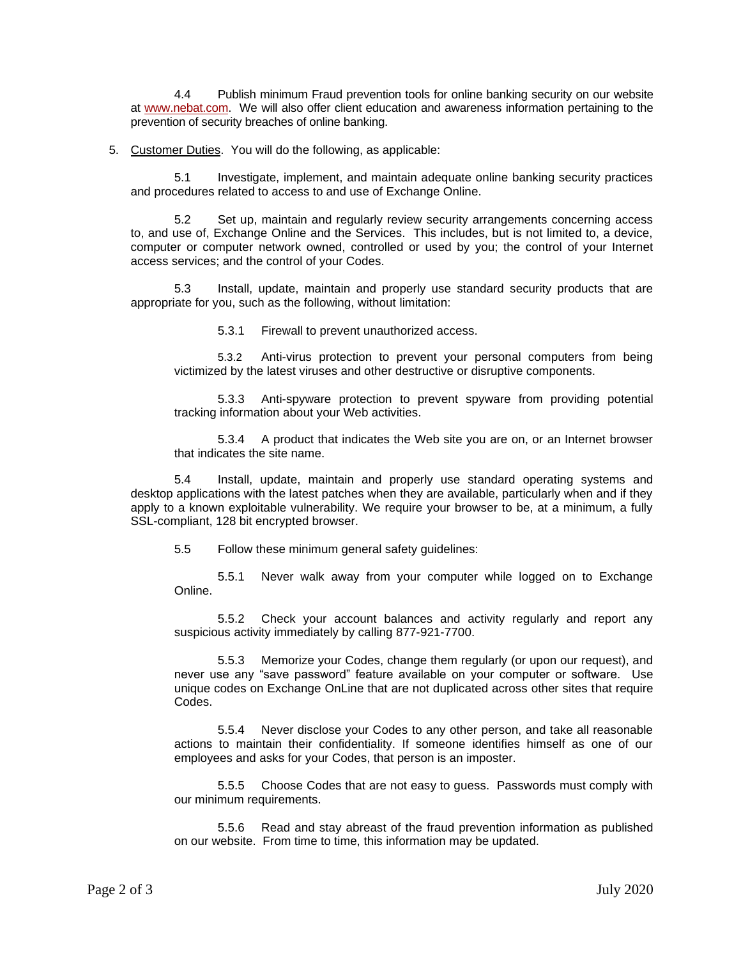4.4 Publish minimum Fraud prevention tools for online banking security on our website at www.nebat.com. We will also offer client education and awareness information pertaining to the prevention of security breaches of online banking.

5. Customer Duties. You will do the following, as applicable:

5.1 Investigate, implement, and maintain adequate online banking security practices and procedures related to access to and use of Exchange Online.

5.2 Set up, maintain and regularly review security arrangements concerning access to, and use of, Exchange Online and the Services. This includes, but is not limited to, a device, computer or computer network owned, controlled or used by you; the control of your Internet access services; and the control of your Codes.

5.3 Install, update, maintain and properly use standard security products that are appropriate for you, such as the following, without limitation:

5.3.1 Firewall to prevent unauthorized access.

5.3.2 Anti-virus protection to prevent your personal computers from being victimized by the latest viruses and other destructive or disruptive components.

5.3.3 Anti-spyware protection to prevent spyware from providing potential tracking information about your Web activities.

5.3.4 A product that indicates the Web site you are on, or an Internet browser that indicates the site name.

5.4 Install, update, maintain and properly use standard operating systems and desktop applications with the latest patches when they are available, particularly when and if they apply to a known exploitable vulnerability. We require your browser to be, at a minimum, a fully SSL-compliant, 128 bit encrypted browser.

5.5 Follow these minimum general safety guidelines:

5.5.1 Never walk away from your computer while logged on to Exchange Online.

5.5.2 Check your account balances and activity regularly and report any suspicious activity immediately by calling 877-921-7700.

5.5.3 Memorize your Codes, change them regularly (or upon our request), and never use any "save password" feature available on your computer or software. Use unique codes on Exchange OnLine that are not duplicated across other sites that require Codes.

5.5.4 Never disclose your Codes to any other person, and take all reasonable actions to maintain their confidentiality. If someone identifies himself as one of our employees and asks for your Codes, that person is an imposter.

5.5.5 Choose Codes that are not easy to guess. Passwords must comply with our minimum requirements.

5.5.6 Read and stay abreast of the fraud prevention information as published on our website. From time to time, this information may be updated.